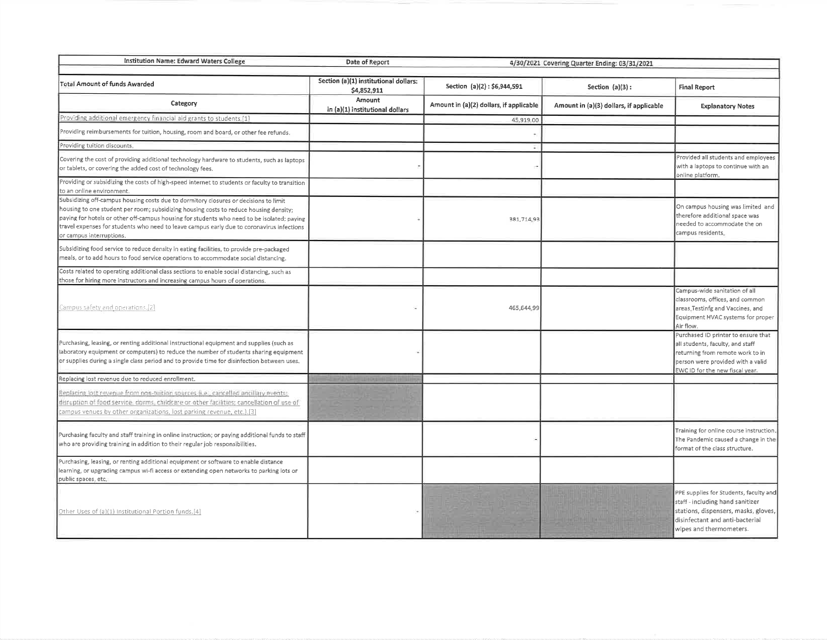| Institution Name: Edward Waters College                                                                                                                                                                                                                                                                                                                                                              | Date of Report                                       |                                         |                                         |                                                                                                                                                                                     |
|------------------------------------------------------------------------------------------------------------------------------------------------------------------------------------------------------------------------------------------------------------------------------------------------------------------------------------------------------------------------------------------------------|------------------------------------------------------|-----------------------------------------|-----------------------------------------|-------------------------------------------------------------------------------------------------------------------------------------------------------------------------------------|
|                                                                                                                                                                                                                                                                                                                                                                                                      | 4/30/2021 Covering Quarter Ending: 03/31/2021        |                                         |                                         |                                                                                                                                                                                     |
| <b>Total Amount of funds Awarded</b>                                                                                                                                                                                                                                                                                                                                                                 | Section (a)(1) institutional dollars:<br>\$4,852,911 | Section (a)(2): \$6,944,591             | Section $(a)(3)$ :                      | <b>Final Report</b>                                                                                                                                                                 |
| Category                                                                                                                                                                                                                                                                                                                                                                                             | Amount<br>in (a)(1) institutional dollars            | Amount in (a)(2) dollars, if applicable | Amount in (a)(3) dollars, if applicable | <b>Explanatory Notes</b>                                                                                                                                                            |
| Providing additional emergency financial aid grants to students [1]                                                                                                                                                                                                                                                                                                                                  |                                                      | 45,919.00                               |                                         |                                                                                                                                                                                     |
| Providing reimbursements for tuition, housing, room and board, or other fee refunds.                                                                                                                                                                                                                                                                                                                 |                                                      |                                         |                                         |                                                                                                                                                                                     |
| Providing tuition discounts,                                                                                                                                                                                                                                                                                                                                                                         |                                                      | Ð                                       |                                         |                                                                                                                                                                                     |
| Covering the cost of providing additional technology hardware to students, such as laptops<br>or tablets, or covering the added cost of technology fees.                                                                                                                                                                                                                                             |                                                      |                                         |                                         | Provided all students and employees<br>with a laptops to continue with an<br>pnline platform.                                                                                       |
| Providing or subsidizing the costs of high-speed internet to students or faculty to transition<br>to an online environment.                                                                                                                                                                                                                                                                          |                                                      |                                         |                                         |                                                                                                                                                                                     |
| Subsidizing off-campus housing costs due to dormitory closures or decisions to limit<br>housing to one student per room; subsidizing housing costs to reduce housing density;<br>paying for hotels or other off-campus housing for students who need to be isolated; paying<br>travel expenses for students who need to leave campus early due to coronavirus infections<br>or campus interruptions. |                                                      | 381,714.93                              |                                         | On campus housing was limited and<br>therefore additional space was<br>needed to accommodate the on<br>campus residents.                                                            |
| Subsidizing food service to reduce density in eating facilities, to provide pre-packaged<br>meals, or to add hours to food service operations to accommodate social distancing.                                                                                                                                                                                                                      |                                                      |                                         |                                         |                                                                                                                                                                                     |
| Costs related to operating additional class sections to enable social distancing, such as<br>those for hiring more instructors and increasing campus hours of operations.                                                                                                                                                                                                                            |                                                      |                                         |                                         |                                                                                                                                                                                     |
| Campus safety and operations.[2]                                                                                                                                                                                                                                                                                                                                                                     |                                                      | 465,644.99                              |                                         | Campus-wide sanitation of all<br>classrooms, offices, and common<br>areas Testinfg and Vaccines, and<br>Equipment HVAC systems for proper<br>Air flow.                              |
| Purchasing, leasing, or renting additional instructional equipment and supplies (such as<br>laboratory equipment or computers) to reduce the number of students sharing equipment<br>or supplies during a single class period and to provide time for disinfection between uses.                                                                                                                     |                                                      |                                         |                                         | Purchased ID printer to ensure that<br>all students, faculty, and staff<br>returning from remote work to in<br>person were provided with a valid<br>EWC ID for the new fiscal year, |
| Replacing lost revenue due to reduced enrollment.                                                                                                                                                                                                                                                                                                                                                    |                                                      |                                         |                                         |                                                                                                                                                                                     |
| Replacing lost revenue from non-tuition sources (i.e., cancelled ancillary events;<br>disruption of food service, dorms, childcare or other facilities; cancellation of use of<br>campus venues by other organizations, lost parking revenue, etc.).[3]                                                                                                                                              |                                                      |                                         |                                         |                                                                                                                                                                                     |
| Purchasing faculty and staff training in online instruction; or paying additional funds to staff<br>who are providing training in addition to their regular job responsibilities.                                                                                                                                                                                                                    |                                                      |                                         |                                         | Training for online course instruction.<br>The Pandemic caused a change in the<br>format of the class structure.                                                                    |
| Purchasing, leasing, or renting additional equipment or software to enable distance<br>learning, or upgrading campus wi-fi access or extending open networks to parking lots or<br>public spaces, etc.                                                                                                                                                                                               |                                                      |                                         |                                         |                                                                                                                                                                                     |
| Other Uses of (a)(1) Institutional Portion funds.[4]                                                                                                                                                                                                                                                                                                                                                 |                                                      |                                         |                                         | PPE supplies for Students, faculty and<br>staff - including hand sanitizer<br>stations, dispensers, masks, gloves,<br>disinfectant and anti-bacterial<br>wipes and thermometers.    |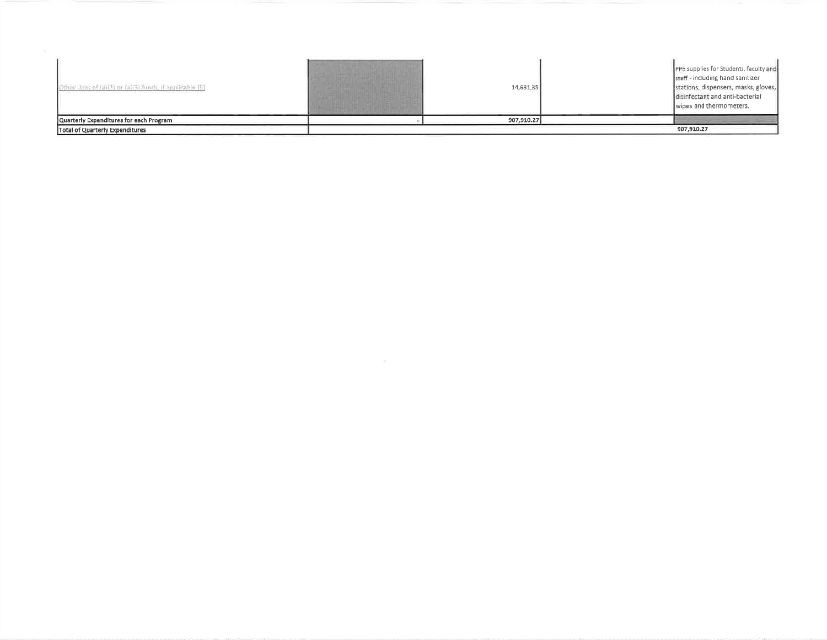| or Uses of (a)(2) or (a)(3) funds, if applicable (5) | 14,631,35  | PPE supplies for Students, faculty and<br>staff - including hand sanitizer<br>stations, dispensers, masks, gloves,<br>disinfectant and anti-bacterial<br>wipes and thermometers. |
|------------------------------------------------------|------------|----------------------------------------------------------------------------------------------------------------------------------------------------------------------------------|
| Quarterly Expenditures for each Program              | 907,910.27 |                                                                                                                                                                                  |
| Total of Quarterly Expenditures                      |            | 907,910.27                                                                                                                                                                       |

the control of the control of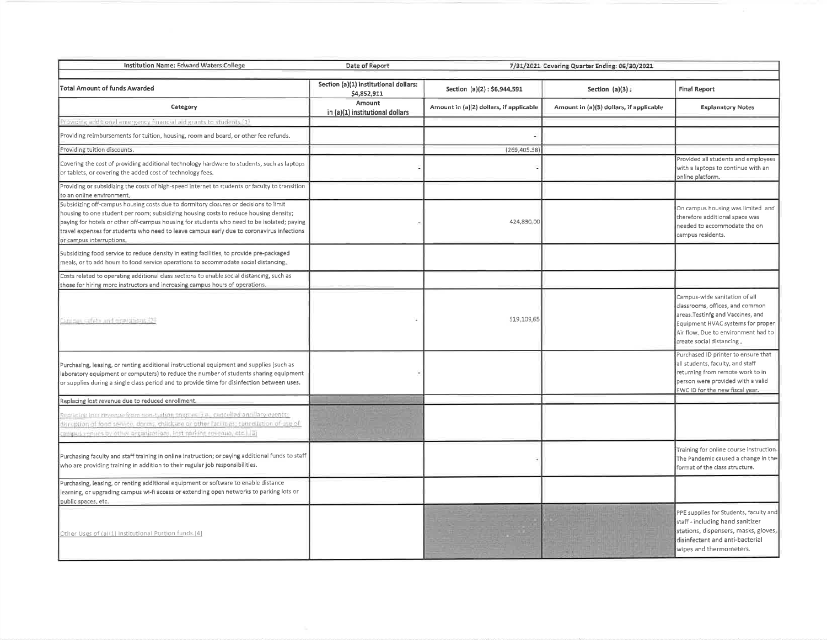| Institution Name: Edward Waters College<br>Date of Report                                                                                                                                                                                                                                                                                                                                            |                                                      |                                         | 7/31/2021 Covering Quarter Ending: 06/30/2021 |                                                                                                                                                                                                               |
|------------------------------------------------------------------------------------------------------------------------------------------------------------------------------------------------------------------------------------------------------------------------------------------------------------------------------------------------------------------------------------------------------|------------------------------------------------------|-----------------------------------------|-----------------------------------------------|---------------------------------------------------------------------------------------------------------------------------------------------------------------------------------------------------------------|
| <b>Total Amount of funds Awarded</b>                                                                                                                                                                                                                                                                                                                                                                 | Section (a)(1) institutional dollars:<br>\$4,852,911 | Section (a)(2): \$6,944,591             | Section $(a)(3)$ :                            | <b>Final Report</b>                                                                                                                                                                                           |
| Category                                                                                                                                                                                                                                                                                                                                                                                             | Amount<br>in (a)(1) institutional dollars            | Amount in (a)(2) dollars, if applicable | Amount in (a)(3) dollars, if applicable       | <b>Explanatory Notes</b>                                                                                                                                                                                      |
| Providing additional emergency financial aid grants to students [1]                                                                                                                                                                                                                                                                                                                                  |                                                      |                                         |                                               |                                                                                                                                                                                                               |
| Providing reimbursements for tuition, housing, room and board, or other fee refunds.                                                                                                                                                                                                                                                                                                                 |                                                      |                                         |                                               |                                                                                                                                                                                                               |
| Providing tuition discounts.                                                                                                                                                                                                                                                                                                                                                                         |                                                      | (269, 405.38)                           |                                               |                                                                                                                                                                                                               |
| Covering the cost of providing additional technology hardware to students, such as laptops<br>or tablets, or covering the added cost of technology fees.                                                                                                                                                                                                                                             |                                                      |                                         |                                               | Provided all students and employees<br>with a laptops to continue with an<br>online platform.                                                                                                                 |
| Providing or subsidizing the costs of high-speed internet to students or faculty to transition<br>to an online environment,                                                                                                                                                                                                                                                                          |                                                      |                                         |                                               |                                                                                                                                                                                                               |
| Subsidizing off-campus housing costs due to dormitory closures or decisions to limit<br>housing to one student per room; subsidizing housing costs to reduce housing density;<br>paying for hotels or other off-campus housing for students who need to be isolated; paying<br>travel expenses for students who need to leave campus early due to coronavirus infections<br>or campus interruptions. |                                                      | 424,830.00                              |                                               | On campus housing was limited and<br>therefore additional space was<br>needed to accommodate the on<br>campus residents.                                                                                      |
| Subsidizing food service to reduce density in eating facilities, to provide pre-packaged<br>meals, or to add hours to food service operations to accommodate social distancing.                                                                                                                                                                                                                      |                                                      |                                         |                                               |                                                                                                                                                                                                               |
| Costs related to operating additional class sections to enable social distancing, such as<br>those for hiring more instructors and increasing campus hours of operations.                                                                                                                                                                                                                            |                                                      |                                         |                                               |                                                                                                                                                                                                               |
| Campus safety and operations (2)                                                                                                                                                                                                                                                                                                                                                                     |                                                      | 519,109.65                              |                                               | Campus-wide sanitation of all<br>classrooms, offices, and common<br>areas Testinfg and Vaccines, and<br>Equipment HVAC systems for proper<br>Air flow. Due to environment had to<br>create social distancing. |
| Purchasing, leasing, or renting additional instructional equipment and supplies (such as<br>aboratory equipment or computers) to reduce the number of students sharing equipment<br>or supplies during a single class period and to provide time for disinfection between uses.                                                                                                                      |                                                      |                                         |                                               | Purchased ID printer to ensure that<br>all students, faculty, and staff<br>returning from remote work to in<br>person were provided with a valid<br>EWC ID for the new fiscal year.                           |
| Replacing lost revenue due to reduced enrollment.                                                                                                                                                                                                                                                                                                                                                    |                                                      |                                         |                                               |                                                                                                                                                                                                               |
| Recission fost revenue from non-tuition sources (i.e., cancelled angillary events)<br>dirruption of food service, darms, childcare or other facilities; cancellation of use of<br>campus venues by other organizations, lost parking revenue, etc.1.(3)                                                                                                                                              |                                                      |                                         |                                               |                                                                                                                                                                                                               |
| Purchasing faculty and staff training in online instruction; or paying additional funds to staff<br>who are providing training in addition to their regular job responsibilities.                                                                                                                                                                                                                    |                                                      |                                         |                                               | Training for online course instruction.<br>The Pandemic caused a change in the<br>format of the class structure.                                                                                              |
| Purchasing, leasing, or renting additional equipment or software to enable distance<br>learning, or upgrading campus wi-fi access or extending open networks to parking lots or<br>public spaces, etc.                                                                                                                                                                                               |                                                      |                                         |                                               |                                                                                                                                                                                                               |
| Other Uses of (a)(1) Institutional Portion funds.[4]                                                                                                                                                                                                                                                                                                                                                 |                                                      |                                         |                                               | PPE supplies for Students, faculty and<br>staff - including hand sanitizer<br>stations, dispensers, masks, gloves,<br>disinfectant and anti-bacterial<br>wipes and thermometers.                              |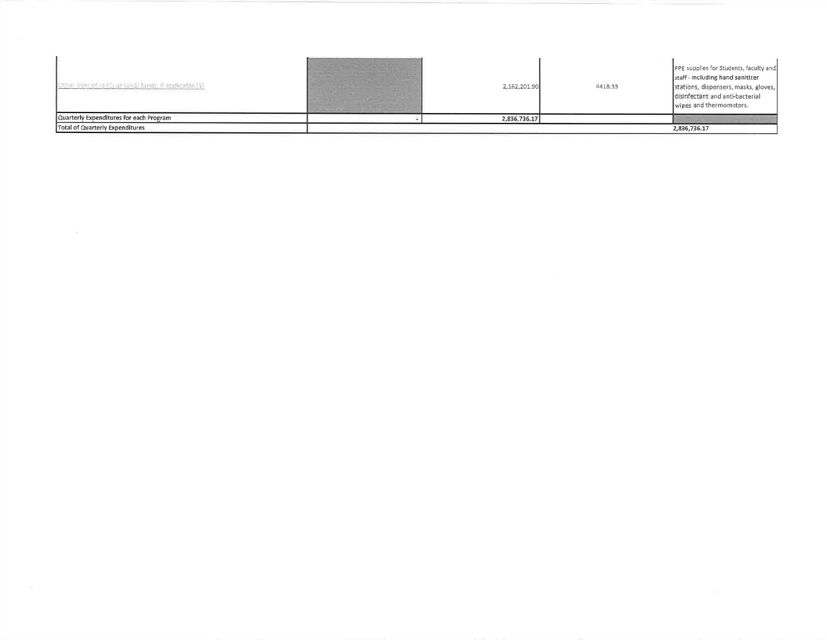| Other Uses of (a)(3) or (a)(3) funds, if applicable (5). | 2,162,201.90 | 4418.33 | PPE supplies for Students, faculty and<br>staff - including hand sanitizer<br>stations, dispensers, masks, gloves,<br>disinfectant and anti-bacterial<br>wipes and thermometers. |
|----------------------------------------------------------|--------------|---------|----------------------------------------------------------------------------------------------------------------------------------------------------------------------------------|
| Quarterly Expenditures for each Program                  | 2,836,736.17 |         |                                                                                                                                                                                  |
| Total of Quarterly Expenditures                          |              |         | 2,836,736.17                                                                                                                                                                     |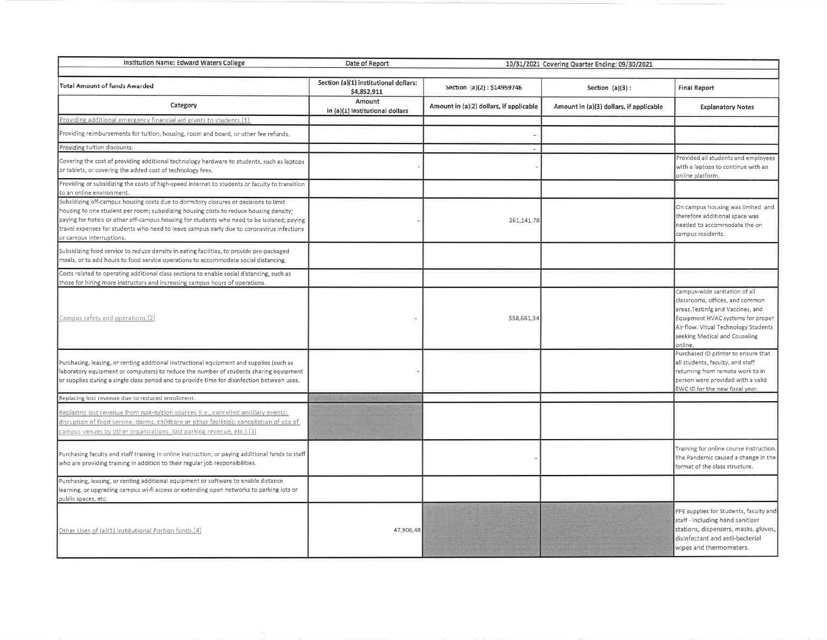| Institution Name: Edward Waters College<br>Date of Report<br>10/31/2021 Covering Quarter Ending: 09/30/2021                                                                                                                                                                                                                                                                                          |                                                                                                             |                                         |                                         |                                                                                                                                                                                                                                |  |
|------------------------------------------------------------------------------------------------------------------------------------------------------------------------------------------------------------------------------------------------------------------------------------------------------------------------------------------------------------------------------------------------------|-------------------------------------------------------------------------------------------------------------|-----------------------------------------|-----------------------------------------|--------------------------------------------------------------------------------------------------------------------------------------------------------------------------------------------------------------------------------|--|
|                                                                                                                                                                                                                                                                                                                                                                                                      | Section (a)(1) institutional dollars:<br><b>Total Amount of funds Awarded</b><br>Section (a)(2): \$14959746 |                                         |                                         |                                                                                                                                                                                                                                |  |
|                                                                                                                                                                                                                                                                                                                                                                                                      | \$4,852,911<br>Amount                                                                                       |                                         | Section $(a)(3)$ :                      | <b>Final Report</b>                                                                                                                                                                                                            |  |
| Category                                                                                                                                                                                                                                                                                                                                                                                             | in (a)(1) institutional dollars                                                                             | Amount in (a)(2) dollars, if applicable | Amount in (a)(3) dollars, if applicable | <b>Explanatory Notes</b>                                                                                                                                                                                                       |  |
| Providing additional emergency financial aid grants to students.[1]                                                                                                                                                                                                                                                                                                                                  |                                                                                                             |                                         |                                         |                                                                                                                                                                                                                                |  |
| Providing reimbursements for tuition, housing, room and board, or other fee refunds,                                                                                                                                                                                                                                                                                                                 |                                                                                                             |                                         |                                         |                                                                                                                                                                                                                                |  |
| Providing tuition discounts.                                                                                                                                                                                                                                                                                                                                                                         |                                                                                                             |                                         |                                         |                                                                                                                                                                                                                                |  |
| Covering the cost of providing additional technology hardware to students, such as laptops<br>or tablets, or covering the added cost of technology fees.                                                                                                                                                                                                                                             |                                                                                                             |                                         |                                         | Provided all students and employees<br>with a laptops to continue with an<br>online platform.                                                                                                                                  |  |
| Providing or subsidizing the costs of high-speed internet to students or faculty to transition<br>to an online environment.                                                                                                                                                                                                                                                                          |                                                                                                             |                                         |                                         |                                                                                                                                                                                                                                |  |
| Subsidizing off-campus housing costs due to dormitory closures or decisions to limit<br>housing to one student per room; subsidizing housing costs to reduce housing density;<br>paying for hotels or other off-campus housing for students who need to be isolated; paying<br>travel expenses for students who need to leave campus early due to coronavirus infections<br>or campus interruptions. |                                                                                                             | 261,141.78                              |                                         | On campus housing was limited and<br>therefore additional space was<br>needed to accommodate the on<br>campus residents.                                                                                                       |  |
| Subsidizing food service to reduce density in eating facilities, to provide pre-packaged<br>meals, or to add hours to food service operations to accommodate social distancing.                                                                                                                                                                                                                      |                                                                                                             |                                         |                                         |                                                                                                                                                                                                                                |  |
| Costs related to operating additional class sections to enable social distancing, such as<br>those for hiring more instructors and increasing campus hours of operations.                                                                                                                                                                                                                            |                                                                                                             |                                         |                                         |                                                                                                                                                                                                                                |  |
| Campus safety and operations.[2]                                                                                                                                                                                                                                                                                                                                                                     |                                                                                                             | 558,661.34                              |                                         | Campus-wide sanitation of all<br>classrooms, offices, and common<br>areas. Testinig and Vaccines, and<br>Equipment HVAC systems for proper<br>Air flow. Vitual Technology Students<br>seeking Medical and Couseling<br>online. |  |
| Purchasing, leasing, or renting additional instructional equipment and supplies (such as<br>laboratory equipment or computers) to reduce the number of students sharing equipment<br>br supplies during a single class period and to provide time for disinfection between uses.                                                                                                                     |                                                                                                             |                                         |                                         | Purchased ID printer to ensure that<br>all students, faculty, and staff<br>returning from remote work to in<br>person were provided with a valid<br>EWC ID for the new fiscal year.                                            |  |
| Replacing lost revenue due to reduced enrollment.                                                                                                                                                                                                                                                                                                                                                    |                                                                                                             |                                         |                                         |                                                                                                                                                                                                                                |  |
| Replacing lost revenue from non-tuition sources (i.e., cancelled ancillary events;<br>disruption of food service, dorms, childcare or other facilities; cancellation of use of<br>tampus venues by other organizations, lost parking revenue, etc.).[3]                                                                                                                                              |                                                                                                             |                                         |                                         |                                                                                                                                                                                                                                |  |
| Purchasing faculty and staff training in online instruction; or paying additional funds to staff<br>who are providing training in addition to their regular job responsibilities.                                                                                                                                                                                                                    |                                                                                                             |                                         |                                         | Training for online course instruction.<br>The Pandemic caused a change in the<br>format of the class structure.                                                                                                               |  |
| Purchasing, leasing, or renting additional equipment or software to enable distance<br>learning, or upgrading campus wi-fi access or extending open networks to parking lots or<br>public spaces, etc.                                                                                                                                                                                               |                                                                                                             |                                         |                                         |                                                                                                                                                                                                                                |  |
| Other Uses of (a)(1) Institutional Portion funds.[4]                                                                                                                                                                                                                                                                                                                                                 | 47,906,48                                                                                                   |                                         |                                         | PPE supplies for Students, faculty and<br>staff - including hand sanitizer<br>stations, dispensers, masks, gloves,<br>disinfectant and anti-bacterial<br>wipes and thermometers.                                               |  |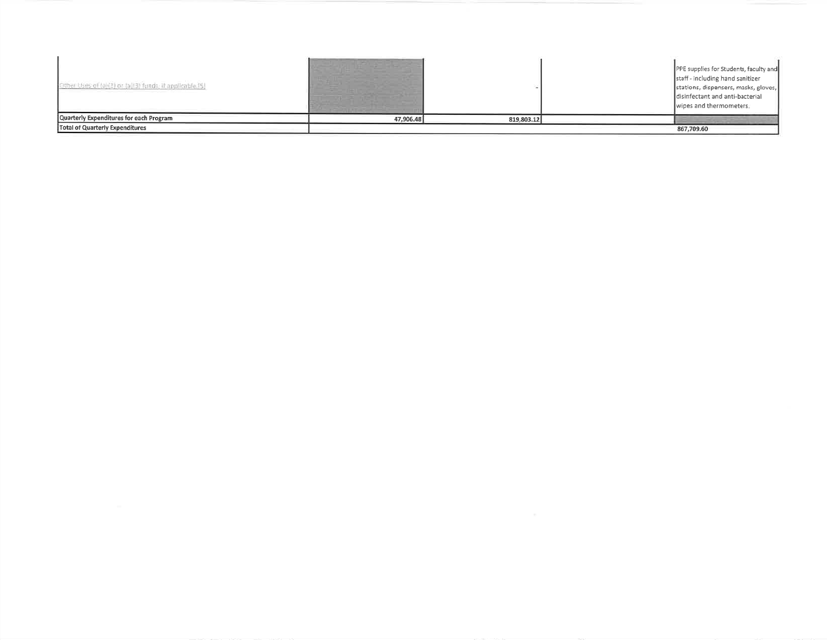| Other tises of (a)(2) or (a)(3) funds, it applicable [\$) |           |            | PPE supplies for Students, faculty and<br>staff - including hand sanitizer<br>stations, dispensers, masks, gloves,<br>disinfectant and anti-bacterial<br>wipes and thermometers. |
|-----------------------------------------------------------|-----------|------------|----------------------------------------------------------------------------------------------------------------------------------------------------------------------------------|
| Quarterly Expenditures for each Program                   | 47,906.48 | 819,803.12 |                                                                                                                                                                                  |
| Total of Quarterly Expenditures                           |           |            | 867.709.60                                                                                                                                                                       |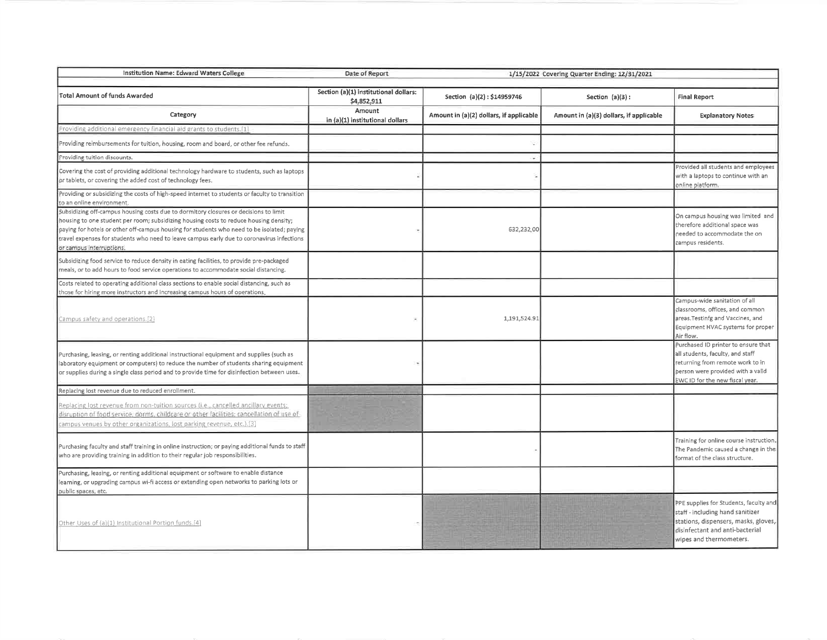| Institution Name: Edward Waters College                                                                                                                                                                                                                                                                                                                                                              | Date of Report<br>1/15/2022 Covering Quarter Ending: 12/31/2021 |                                         |                                         |                                                                                                                                                                                     |
|------------------------------------------------------------------------------------------------------------------------------------------------------------------------------------------------------------------------------------------------------------------------------------------------------------------------------------------------------------------------------------------------------|-----------------------------------------------------------------|-----------------------------------------|-----------------------------------------|-------------------------------------------------------------------------------------------------------------------------------------------------------------------------------------|
| <b>Total Amount of funds Awarded</b>                                                                                                                                                                                                                                                                                                                                                                 | Section (a)(1) institutional dollars:<br>\$4,852,911            | Section (a)(2): \$14959746              | Section $(a)(3)$ :                      | <b>Final Report</b>                                                                                                                                                                 |
| Category                                                                                                                                                                                                                                                                                                                                                                                             | Amount<br>in (a)(1) institutional dollars                       | Amount in (a)(2) dollars, if applicable | Amount in (a)(3) dollars, if applicable | <b>Explanatory Notes</b>                                                                                                                                                            |
| Providing additional emergency financial aid grants to students.[1]                                                                                                                                                                                                                                                                                                                                  |                                                                 |                                         |                                         |                                                                                                                                                                                     |
| Providing reimbursements for tuition, housing, room and board, or other fee refunds.                                                                                                                                                                                                                                                                                                                 |                                                                 |                                         |                                         |                                                                                                                                                                                     |
| Providing tuition discounts.                                                                                                                                                                                                                                                                                                                                                                         |                                                                 |                                         |                                         |                                                                                                                                                                                     |
| Covering the cost of providing additional technology hardware to students, such as laptops<br>or tablets, or covering the added cost of technology fees.                                                                                                                                                                                                                                             |                                                                 |                                         |                                         | Provided all students and employees<br>with a laptops to continue with an<br>online platform.                                                                                       |
| Providing or subsidizing the costs of high-speed internet to students or faculty to transition<br>to an online environment.                                                                                                                                                                                                                                                                          |                                                                 |                                         |                                         |                                                                                                                                                                                     |
| Subsidizing off-campus housing costs due to dormitory closures or decisions to limit<br>housing to one student per room; subsidizing housing costs to reduce housing density;<br>paying for hotels or other off-campus housing for students who need to be isolated; paying<br>travel expenses for students who need to leave campus early due to coronavirus infections<br>or campus interruptions. |                                                                 | 632,232.00                              |                                         | On campus housing was limited and<br>therefore additional space was<br>needed to accommodate the on<br>campus residents.                                                            |
| Subsidizing food service to reduce density in eating facilities, to provide pre-packaged<br>meals, or to add hours to food service operations to accommodate social distancing.                                                                                                                                                                                                                      |                                                                 |                                         |                                         |                                                                                                                                                                                     |
| Costs related to operating additional class sections to enable social distancing, such as<br>those for hiring more instructors and increasing campus hours of operations.                                                                                                                                                                                                                            |                                                                 |                                         |                                         |                                                                                                                                                                                     |
| Campus safety and operations.[2]                                                                                                                                                                                                                                                                                                                                                                     |                                                                 | 1,191,524.91                            |                                         | Campus-wide sanitation of all<br>classrooms, offices, and common<br>areas. Testinfg and Vaccines, and<br>Equipment HVAC systems for proper<br>Air flow.                             |
| Purchasing, leasing, or renting additional instructional equipment and supplies (such as<br>laboratory equipment or computers) to reduce the number of students sharing equipment<br>or supplies during a single class period and to provide time for disinfection between uses.                                                                                                                     |                                                                 |                                         |                                         | Purchased ID printer to ensure that<br>all students, faculty, and staff<br>returning from remote work to in<br>person were provided with a valid<br>EWC ID for the new fiscal year. |
| Replacing lost revenue due to reduced enrollment.                                                                                                                                                                                                                                                                                                                                                    |                                                                 |                                         |                                         |                                                                                                                                                                                     |
| Replacing lost revenue from non-tuition sources (i.e., cancelled ancillary events;<br>disruption of food service, dorms, childcare or other facilities: cancellation of use of<br>campus venues by other organizations, lost parking revenue, etc.).[3]                                                                                                                                              |                                                                 |                                         |                                         |                                                                                                                                                                                     |
| Purchasing faculty and staff training in online instruction; or paying additional funds to staff<br>who are providing training in addition to their regular job responsibilities.                                                                                                                                                                                                                    |                                                                 |                                         |                                         | Training for online course instruction.<br>The Pandemic caused a change in the<br>format of the class structure.                                                                    |
| Purchasing, leasing, or renting additional equipment or software to enable distance<br>learning, or upgrading campus wi-fi access or extending open networks to parking lots or<br>public spaces, etc.                                                                                                                                                                                               |                                                                 |                                         |                                         |                                                                                                                                                                                     |
| Other Uses of (a)(1) Institutional Portion funds.[4]                                                                                                                                                                                                                                                                                                                                                 |                                                                 |                                         |                                         | PPE supplies for Students, faculty and<br>staff - including hand sanitizer<br>stations, dispensers, masks, gloves,<br>disinfectant and anti-bacterial<br>wipes and thermometers.    |